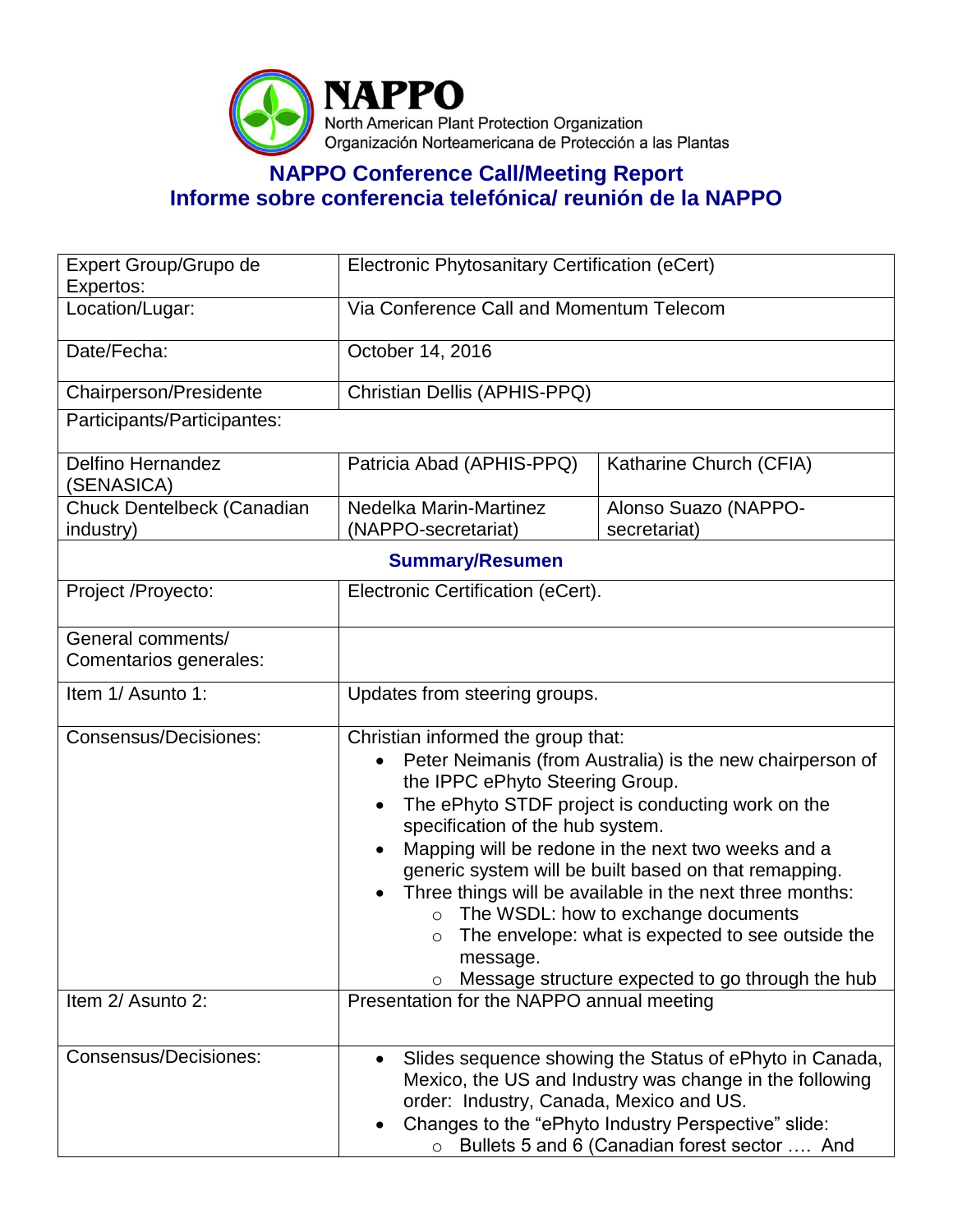

## **NAPPO Conference Call/Meeting Report Informe sobre conferencia telefónica/ reunión de la NAPPO**

| Expert Group/Grupo de<br>Expertos:          | Electronic Phytosanitary Certification (eCert)                                                                                                                                                                                                                                                                                                                                                                                                                                                                                                                                |                                      |  |  |
|---------------------------------------------|-------------------------------------------------------------------------------------------------------------------------------------------------------------------------------------------------------------------------------------------------------------------------------------------------------------------------------------------------------------------------------------------------------------------------------------------------------------------------------------------------------------------------------------------------------------------------------|--------------------------------------|--|--|
| Location/Lugar:                             | Via Conference Call and Momentum Telecom                                                                                                                                                                                                                                                                                                                                                                                                                                                                                                                                      |                                      |  |  |
| Date/Fecha:                                 | October 14, 2016                                                                                                                                                                                                                                                                                                                                                                                                                                                                                                                                                              |                                      |  |  |
| Chairperson/Presidente                      | Christian Dellis (APHIS-PPQ)                                                                                                                                                                                                                                                                                                                                                                                                                                                                                                                                                  |                                      |  |  |
| Participants/Participantes:                 |                                                                                                                                                                                                                                                                                                                                                                                                                                                                                                                                                                               |                                      |  |  |
| <b>Delfino Hernandez</b><br>(SENASICA)      | Patricia Abad (APHIS-PPQ)                                                                                                                                                                                                                                                                                                                                                                                                                                                                                                                                                     | Katharine Church (CFIA)              |  |  |
| Chuck Dentelbeck (Canadian<br>industry)     | Nedelka Marin-Martinez<br>(NAPPO-secretariat)                                                                                                                                                                                                                                                                                                                                                                                                                                                                                                                                 | Alonso Suazo (NAPPO-<br>secretariat) |  |  |
| <b>Summary/Resumen</b>                      |                                                                                                                                                                                                                                                                                                                                                                                                                                                                                                                                                                               |                                      |  |  |
| Project /Proyecto:                          | Electronic Certification (eCert).                                                                                                                                                                                                                                                                                                                                                                                                                                                                                                                                             |                                      |  |  |
| General comments/<br>Comentarios generales: |                                                                                                                                                                                                                                                                                                                                                                                                                                                                                                                                                                               |                                      |  |  |
| Item 1/ Asunto 1:                           | Updates from steering groups.                                                                                                                                                                                                                                                                                                                                                                                                                                                                                                                                                 |                                      |  |  |
| <b>Consensus/Decisiones:</b>                | Christian informed the group that:<br>Peter Neimanis (from Australia) is the new chairperson of<br>the IPPC ePhyto Steering Group.<br>The ePhyto STDF project is conducting work on the<br>specification of the hub system.<br>Mapping will be redone in the next two weeks and a<br>generic system will be built based on that remapping.<br>Three things will be available in the next three months:<br>The WSDL: how to exchange documents<br>The envelope: what is expected to see outside the<br>$\circ$<br>message.<br>Message structure expected to go through the hub |                                      |  |  |
| Item 2/ Asunto 2:                           | Presentation for the NAPPO annual meeting                                                                                                                                                                                                                                                                                                                                                                                                                                                                                                                                     |                                      |  |  |
| Consensus/Decisiones:                       | Slides sequence showing the Status of ePhyto in Canada,<br>Mexico, the US and Industry was change in the following<br>order: Industry, Canada, Mexico and US.<br>Changes to the "ePhyto Industry Perspective" slide:<br>O Bullets 5 and 6 (Canadian forest sector  And                                                                                                                                                                                                                                                                                                        |                                      |  |  |